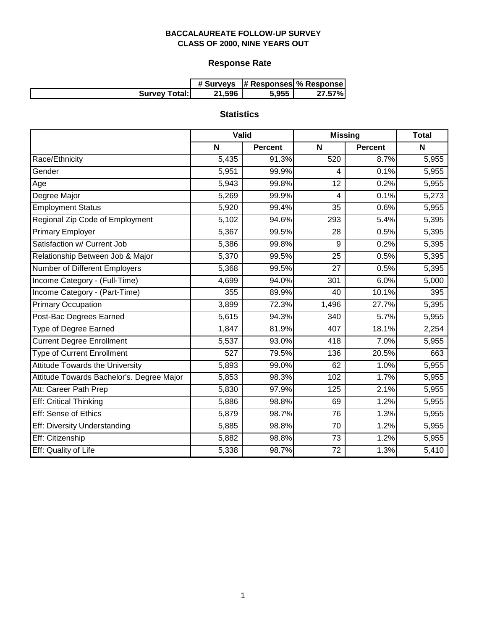# **Response Rate**

|                      |        | # Surveys  # Responses  % Response |        |
|----------------------|--------|------------------------------------|--------|
| <b>Survey Total:</b> | 21.596 | 5,955                              | 27.57% |

# **Statistics**

|                                           | Valid |                | <b>Missing</b> |                | <b>Total</b> |
|-------------------------------------------|-------|----------------|----------------|----------------|--------------|
|                                           | N     | <b>Percent</b> | N              | <b>Percent</b> | N            |
| Race/Ethnicity                            | 5,435 | 91.3%          | 520            | 8.7%           | 5,955        |
| Gender                                    | 5,951 | 99.9%          | 4              | 0.1%           | 5,955        |
| Age                                       | 5,943 | 99.8%          | 12             | 0.2%           | 5,955        |
| Degree Major                              | 5,269 | 99.9%          | 4              | 0.1%           | 5,273        |
| <b>Employment Status</b>                  | 5,920 | 99.4%          | 35             | 0.6%           | 5,955        |
| Regional Zip Code of Employment           | 5,102 | 94.6%          | 293            | 5.4%           | 5,395        |
| <b>Primary Employer</b>                   | 5,367 | 99.5%          | 28             | 0.5%           | 5,395        |
| Satisfaction w/ Current Job               | 5,386 | 99.8%          | 9              | 0.2%           | 5,395        |
| Relationship Between Job & Major          | 5,370 | 99.5%          | 25             | 0.5%           | 5,395        |
| Number of Different Employers             | 5,368 | 99.5%          | 27             | 0.5%           | 5,395        |
| Income Category - (Full-Time)             | 4,699 | 94.0%          | 301            | 6.0%           | 5,000        |
| Income Category - (Part-Time)             | 355   | 89.9%          | 40             | 10.1%          | 395          |
| <b>Primary Occupation</b>                 | 3,899 | 72.3%          | 1,496          | 27.7%          | 5,395        |
| Post-Bac Degrees Earned                   | 5,615 | 94.3%          | 340            | 5.7%           | 5,955        |
| Type of Degree Earned                     | 1,847 | 81.9%          | 407            | 18.1%          | 2,254        |
| <b>Current Degree Enrollment</b>          | 5,537 | 93.0%          | 418            | 7.0%           | 5,955        |
| <b>Type of Current Enrollment</b>         | 527   | 79.5%          | 136            | 20.5%          | 663          |
| <b>Attitude Towards the University</b>    | 5,893 | 99.0%          | 62             | 1.0%           | 5,955        |
| Attitude Towards Bachelor's. Degree Major | 5,853 | 98.3%          | 102            | 1.7%           | 5,955        |
| Att: Career Path Prep                     | 5,830 | 97.9%          | 125            | 2.1%           | 5,955        |
| Eff: Critical Thinking                    | 5,886 | 98.8%          | 69             | 1.2%           | 5,955        |
| Eff: Sense of Ethics                      | 5,879 | 98.7%          | 76             | 1.3%           | 5,955        |
| <b>Eff: Diversity Understanding</b>       | 5,885 | 98.8%          | 70             | 1.2%           | 5,955        |
| Eff: Citizenship                          | 5,882 | 98.8%          | 73             | 1.2%           | 5,955        |
| Eff: Quality of Life                      | 5,338 | 98.7%          | 72             | 1.3%           | 5,410        |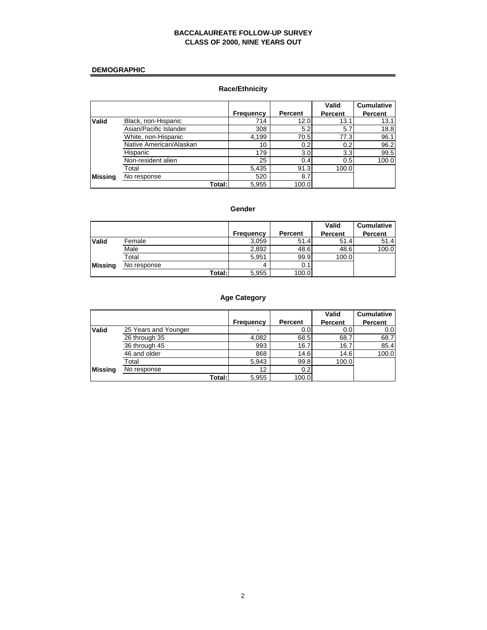## **DEMOGRAPHIC**

## **Race/Ethnicity**

|              |                         |                  |                | Valid          | <b>Cumulative</b> |
|--------------|-------------------------|------------------|----------------|----------------|-------------------|
|              |                         | <b>Frequency</b> | <b>Percent</b> | <b>Percent</b> | <b>Percent</b>    |
| <b>Valid</b> | Black, non-Hispanic     | 714              | 12.0           | 13.1           | 13.1              |
|              | Asian/Pacific Islander  | 308              | 5.2            | 5.7            | 18.8              |
|              | White, non-Hispanic     | 4,199            | 70.5           | 77.3           | 96.1              |
|              | Native American/Alaskan | 10               | 0.2            | 0.2            | 96.2              |
|              | Hispanic                | 179              | 3.0            | 3.3            | 99.5              |
|              | Non-resident alien      | 25               | 0.4            | 0.5            | 100.0             |
|              | Total                   | 5,435            | 91.3           | 100.0          |                   |
| Missina      | No response             | 520              | 8.7            |                |                   |
|              | Total:                  | 5,955            | 100.0          |                |                   |

#### **Gender**

|              |             |           |                | Valid          | <b>Cumulative</b> |
|--------------|-------------|-----------|----------------|----------------|-------------------|
|              |             | Frequency | <b>Percent</b> | <b>Percent</b> | <b>Percent</b>    |
| <b>Valid</b> | Female      | 3,059     | 51.4           | 51.4           | 51.4              |
|              | Male        | 2,892     | 48.6           | 48.6           | 100.0             |
|              | Total       | 5,951     | 99.9           | 100.0          |                   |
| Missing      | No response | 4         | 0.1            |                |                   |
|              | Total:      | 5,955     | 100.0          |                |                   |

## **Age Category**

|              |                      |                  |         | Valid          | <b>Cumulative</b> |
|--------------|----------------------|------------------|---------|----------------|-------------------|
|              |                      | <b>Frequency</b> | Percent | <b>Percent</b> | <b>Percent</b>    |
| <b>Valid</b> | 25 Years and Younger | ۰                | 0.0     | 0.0            | 0.0 <sub>l</sub>  |
|              | 26 through 35        | 4.082            | 68.5    | 68.7           | 68.7              |
|              | 36 through 45        | 993              | 16.7    | 16.7           | 85.4              |
|              | 46 and older         | 868              | 14.6    | 14.6           | 100.0             |
|              | Total                | 5,943            | 99.8    | 100.0          |                   |
| Missina      | No response          | 12               | 0.2     |                |                   |
|              | Total:               | 5,955            | 100.0   |                |                   |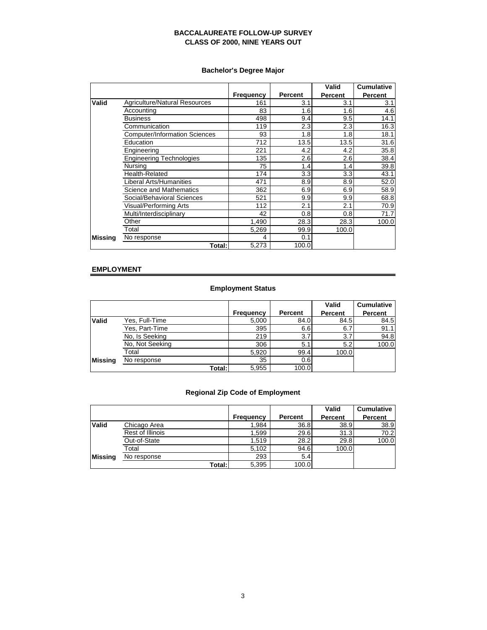## **Bachelor's Degree Major**

|                |                                      |                  |                | Valid   | <b>Cumulative</b> |
|----------------|--------------------------------------|------------------|----------------|---------|-------------------|
|                |                                      | <b>Frequency</b> | <b>Percent</b> | Percent | <b>Percent</b>    |
| Valid          | Agriculture/Natural Resources        | 161              | 3.1            | 3.1     | 3.1               |
|                | Accounting                           | 83               | 1.6            | 1.6     | 4.6               |
|                | <b>Business</b>                      | 498              | 9.4            | 9.5     | 14.1              |
|                | Communication                        | 119              | 2.3            | 2.3     | 16.3              |
|                | <b>Computer/Information Sciences</b> | 93               | 1.8            | 1.8     | 18.1              |
|                | Education                            | 712              | 13.5           | 13.5    | 31.6              |
|                | Engineering                          | 221              | 4.2            | 4.2     | 35.8              |
|                | <b>Engineering Technologies</b>      | 135              | 2.6            | 2.6     | 38.4              |
|                | Nursing                              | 75               | 1.4            | 1.4     | 39.8              |
|                | <b>Health-Related</b>                | 174              | 3.3            | 3.3     | 43.1              |
|                | Liberal Arts/Humanities              | 471              | 8.9            | 8.9     | 52.0              |
|                | Science and Mathematics              | 362              | 6.9            | 6.9     | 58.9              |
|                | Social/Behavioral Sciences           | 521              | 9.9            | 9.9     | 68.8              |
|                | Visual/Performing Arts               | 112              | 2.1            | 2.1     | 70.9              |
|                | Multi/Interdisciplinary              | 42               | 0.8            | 0.8     | 71.7              |
|                | Other                                | 1,490            | 28.3           | 28.3    | 100.0             |
|                | Total                                | 5,269            | 99.9           | 100.0   |                   |
| <b>Missing</b> | No response                          | 4                | 0.1            |         |                   |
|                | Total:                               | 5,273            | 100.0          |         |                   |

#### **EMPLOYMENT**

## **Employment Status**

|                |                 |                  |                | Valid   | <b>Cumulative</b> |
|----------------|-----------------|------------------|----------------|---------|-------------------|
|                |                 | <b>Frequency</b> | <b>Percent</b> | Percent | <b>Percent</b>    |
| <b>Valid</b>   | Yes, Full-Time  | 5,000            | 84.0           | 84.5    | 84.5              |
|                | Yes, Part-Time  | 395              | 6.6            | 6.7     | 91.1              |
|                | No, Is Seeking  | 219              | 3.7            | 3.7     | 94.8              |
|                | No, Not Seeking | 306              | 5.1            | 5.2     | 100.0             |
|                | Total           | 5,920            | 99.4           | 100.0   |                   |
| <b>Missing</b> | No response     | 35               | 0.6            |         |                   |
|                | Total:          | 5,955            | 100.0          |         |                   |

## **Regional Zip Code of Employment**

|              |                  |                  |                | <b>Valid</b>   | <b>Cumulative</b> |
|--------------|------------------|------------------|----------------|----------------|-------------------|
|              |                  | <b>Frequency</b> | <b>Percent</b> | <b>Percent</b> | <b>Percent</b>    |
| <b>Valid</b> | Chicago Area     | 1,984            | 36.8           | 38.9           | 38.9              |
|              | Rest of Illinois | 1,599            | 29.6           | 31.3           | 70.2              |
|              | Out-of-State     | 1.519            | 28.2           | 29.8           | 100.0             |
|              | Total            | 5,102            | 94.6           | 100.0          |                   |
| Missing      | No response      | 293              | 5.4            |                |                   |
|              | Total:           | 5,395            | 100.0          |                |                   |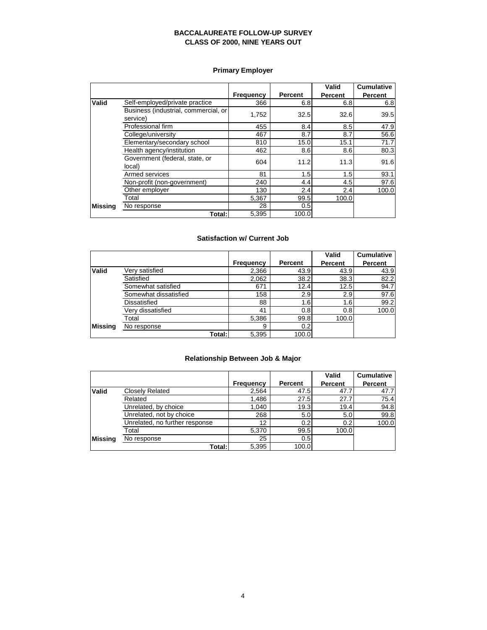## **Primary Employer**

|         |                                                  |                  |                | Valid          | <b>Cumulative</b> |
|---------|--------------------------------------------------|------------------|----------------|----------------|-------------------|
|         |                                                  | <b>Frequency</b> | <b>Percent</b> | <b>Percent</b> | <b>Percent</b>    |
| Valid   | Self-employed/private practice                   | 366              | 6.8            | 6.8            | 6.8               |
|         | Business (industrial, commercial, or<br>service) | 1,752            | 32.5           | 32.6           | 39.5              |
|         | Professional firm                                | 455              | 8.4            | 8.5            | 47.9              |
|         | College/university                               | 467              | 8.7            | 8.7            | 56.6              |
|         | Elementary/secondary school                      | 810              | 15.0           | 15.1           | 71.7              |
|         | Health agency/institution                        | 462              | 8.6            | 8.6            | 80.3              |
|         | Government (federal, state, or<br>local)         | 604              | 11.2           | 11.3           | 91.6              |
|         | Armed services                                   | 81               | 1.5            | 1.5            | 93.1              |
|         | Non-profit (non-government)                      | 240              | 4.4            | 4.5            | 97.6              |
|         | Other employer                                   | 130              | 2.4            | 2.4            | 100.0             |
|         | Total                                            | 5,367            | 99.5           | 100.0          |                   |
| Missina | No response                                      | 28               | 0.5            |                |                   |
|         | Total: I                                         | 5,395            | 100.0          |                |                   |

## **Satisfaction w/ Current Job**

|         |                       |                  |                | Valid   | <b>Cumulative</b> |
|---------|-----------------------|------------------|----------------|---------|-------------------|
|         |                       | <b>Frequency</b> | <b>Percent</b> | Percent | Percent           |
| Valid   | Very satisfied        | 2,366            | 43.9           | 43.9    | 43.9              |
|         | Satisfied             | 2,062            | 38.2           | 38.3    | 82.2              |
|         | Somewhat satisfied    | 671              | 12.4           | 12.5    | 94.7              |
|         | Somewhat dissatisfied | 158              | 2.9            | 2.9     | 97.6              |
|         | Dissatisfied          | 88               | 1.6            | 1.6     | 99.2              |
|         | Verv dissatisfied     | 41               | 0.8            | 0.8     | 100.0             |
|         | Total                 | 5,386            | 99.8           | 100.0   |                   |
| Missina | No response           | 9                | 0.2            |         |                   |
|         | Total: I              | 5,395            | 100.0          |         |                   |

## **Relationship Between Job & Major**

|              |                                |                  |         | Valid   | <b>Cumulative</b> |
|--------------|--------------------------------|------------------|---------|---------|-------------------|
|              |                                | <b>Frequency</b> | Percent | Percent | <b>Percent</b>    |
| <b>Valid</b> | <b>Closely Related</b>         | 2,564            | 47.5    | 47.7    | 47.7              |
|              | Related                        | 1,486            | 27.5    | 27.7    | 75.4              |
|              | Unrelated, by choice           | 1.040            | 19.3    | 19.4    | 94.8              |
|              | Unrelated, not by choice       | 268              | 5.0     | 5.0     | 99.8              |
|              | Unrelated, no further response | 12               | 0.2     | 0.2     | 100.0             |
|              | Total                          | 5,370            | 99.5    | 100.0   |                   |
| Missina      | No response                    | 25               | 0.5     |         |                   |
|              | Total:                         | 5,395            | 100.0   |         |                   |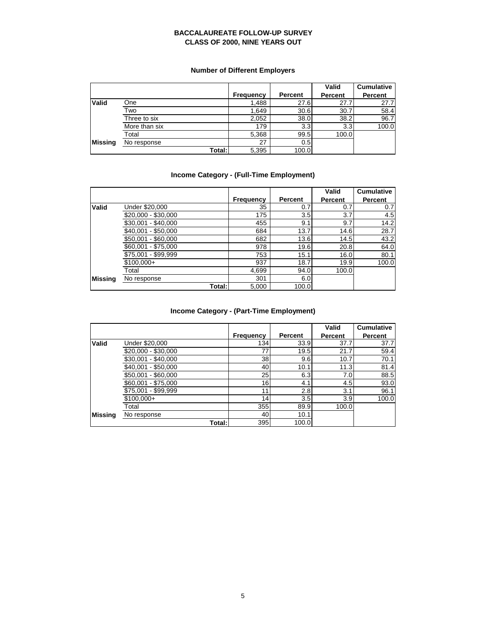## **Number of Different Employers**

|                |               |           |         | Valid   | <b>Cumulative</b> |
|----------------|---------------|-----------|---------|---------|-------------------|
|                |               | Frequency | Percent | Percent | <b>Percent</b>    |
| Valid          | One           | 1,488     | 27.6    | 27.7    | 27.7              |
|                | Two           | 1,649     | 30.6    | 30.7    | 58.4              |
|                | Three to six  | 2,052     | 38.0    | 38.2    | 96.7              |
|                | More than six | 179       | 3.3     | 3.3     | 100.0             |
|                | Total         | 5,368     | 99.5    | 100.0   |                   |
| <b>Missing</b> | No response   | 27        | 0.5     |         |                   |
|                | Total:        | 5,395     | 100.0   |         |                   |

## **Income Category - (Full-Time Employment)**

|              |                     |           |                | Valid          | <b>Cumulative</b> |
|--------------|---------------------|-----------|----------------|----------------|-------------------|
|              |                     | Frequency | <b>Percent</b> | <b>Percent</b> | Percent           |
| <b>Valid</b> | Under \$20,000      | 35        | 0.7            | 0.7            | 0.7               |
|              | \$20,000 - \$30,000 | 175       | 3.5            | 3.7            | 4.5               |
|              | $$30.001 - $40.000$ | 455       | 9.1            | 9.7            | 14.2              |
|              | \$40.001 - \$50.000 | 684       | 13.7           | 14.6           | 28.7              |
|              | \$50,001 - \$60,000 | 682       | 13.6           | 14.5           | 43.2              |
|              | \$60,001 - \$75,000 | 978       | 19.6           | 20.8           | 64.0              |
|              | \$75,001 - \$99,999 | 753       | 15.1           | 16.0           | 80.1              |
|              | $$100,000+$         | 937       | 18.7           | 19.9           | 100.0             |
|              | Total               | 4,699     | 94.0           | 100.0          |                   |
| Missina      | No response         | 301       | 6.0            |                |                   |
|              | Total:              | 5,000     | 100.0          |                |                   |

## **Income Category - (Part-Time Employment)**

|                |                     |           |         | <b>Valid</b>   | <b>Cumulative</b> |
|----------------|---------------------|-----------|---------|----------------|-------------------|
|                |                     | Frequency | Percent | <b>Percent</b> | Percent           |
| Valid          | Under \$20,000      | 134       | 33.9    | 37.7           | 37.7              |
|                | \$20,000 - \$30,000 | 77        | 19.5    | 21.7           | 59.4              |
|                | \$30,001 - \$40,000 | 38        | 9.6     | 10.7           | 70.1              |
|                | \$40.001 - \$50.000 | 40        | 10.1    | 11.3           | 81.4              |
|                | \$50,001 - \$60,000 | 25        | 6.3     | 7.0            | 88.5              |
|                | \$60,001 - \$75,000 | 16        | 4.1     | 4.5            | 93.0              |
|                | \$75,001 - \$99,999 | 11        | 2.8     | 3.1            | 96.1              |
|                | $$100,000+$         | 14        | 3.5     | 3.9            | 100.0             |
|                | Total               | 355       | 89.9    | 100.0          |                   |
| <b>Missing</b> | No response         | 40        | 10.1    |                |                   |
|                | Total:              | 395       | 100.0   |                |                   |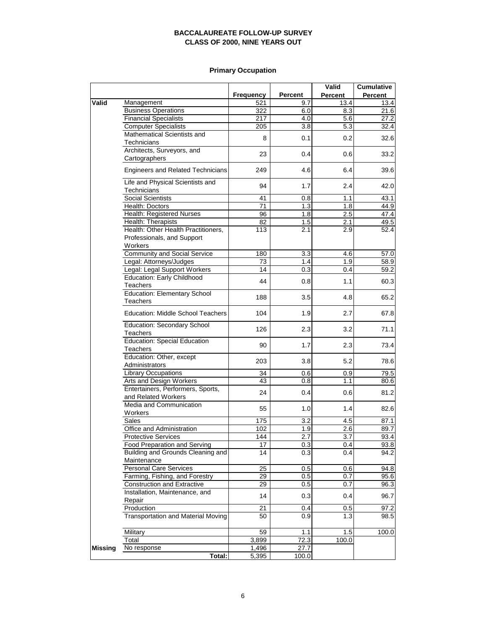## **Primary Occupation**

|                |                                                          |                  |                  | Valid            | <b>Cumulative</b> |
|----------------|----------------------------------------------------------|------------------|------------------|------------------|-------------------|
|                |                                                          | <b>Frequency</b> | <b>Percent</b>   | <b>Percent</b>   | Percent           |
| <b>Valid</b>   | Management                                               | 521              | 9.7              | 13.4             | 13.4              |
|                | <b>Business Operations</b>                               | 322              | 6.0              | 8.3              | 21.6              |
|                | <b>Financial Specialists</b>                             | 217              | 4.0              | 5.6              | 27.2              |
|                | <b>Computer Specialists</b>                              | 205              | 3.8              | 5.3              | 32.4              |
|                | Mathematical Scientists and<br>Technicians               | 8                | 0.1              | 0.2              | 32.6              |
|                | Architects, Surveyors, and                               |                  |                  |                  |                   |
|                | Cartographers                                            | 23               | 0.4              | 0.6              | 33.2              |
|                | <b>Engineers and Related Technicians</b>                 | 249              | 4.6              | 6.4              | 39.6              |
|                | Life and Physical Scientists and<br>Technicians          | 94               | 1.7              | 2.4              | 42.0              |
|                | <b>Social Scientists</b>                                 | 41               | 0.8              | 1.1              | 43.1              |
|                | Health: Doctors                                          | 71               | 1.3              | 1.8              | 44.9              |
|                | Health: Registered Nurses                                | 96               | 1.8              | 2.5              | 47.4              |
|                | Health: Therapists                                       | 82               | 1.5              | 2.1              | 49.5              |
|                | Health: Other Health Practitioners,                      | 113              | 2.1              | 2.9              | 52.4              |
|                | Professionals, and Support<br>Workers                    |                  |                  |                  |                   |
|                | Community and Social Service                             | 180              | 3.3              | 4.6              | 57.0              |
|                | Legal: Attorneys/Judges                                  | 73               | 1.4              | 1.9              | 58.9              |
|                | Legal: Legal Support Workers                             | 14               | 0.3              | 0.4              | 59.2              |
|                | <b>Education: Early Childhood</b>                        |                  |                  |                  |                   |
|                | Teachers                                                 | 44               | 0.8              | 1.1              | 60.3              |
|                | <b>Education: Elementary School</b><br><b>Teachers</b>   | 188              | 3.5              | 4.8              | 65.2              |
|                | <b>Education: Middle School Teachers</b>                 | 104              | 1.9              | 2.7              | 67.8              |
|                | Education: Secondary School<br>Teachers                  | 126              | 2.3              | 3.2              | 71.1              |
|                | <b>Education: Special Education</b><br>Teachers          | 90               | 1.7              | 2.3              | 73.4              |
|                | Education: Other, except<br>Administrators               | 203              | 3.8              | 5.2              | 78.6              |
|                | <b>Library Occupations</b>                               | 34               | 0.6              | 0.9              | 79.5              |
|                | Arts and Design Workers                                  | 43               | 0.8              | 1.1              | 80.6              |
|                | Entertainers, Performers, Sports,<br>and Related Workers | 24               | 0.4              | 0.6              | 81.2              |
|                | Media and Communication<br>Workers                       | 55               | 1.0              | 1.4              | 82.6              |
|                | <b>Sales</b>                                             | 175              | 3.2              | 4.5              | 87.1              |
|                | Office and Administration                                | 102              | 1.9              | 2.6              | 89.7              |
|                | <b>Protective Services</b>                               | 144              | $\overline{2.7}$ | $\overline{3.7}$ | 93.4              |
|                | Food Preparation and Serving                             | 17               | 0.3              | 0.4              | 93.8              |
|                | Building and Grounds Cleaning and<br>Maintenance         | 14               | 0.3              | 0.4              | 94.2              |
|                | <b>Personal Care Services</b>                            | 25               | 0.5              | 0.6              | 94.8              |
|                | Farming, Fishing, and Forestry                           | 29               | 0.5              | 0.7              | 95.6              |
|                | <b>Construction and Extractive</b>                       | 29               | 0.5              | 0.7              | 96.3              |
|                | Installation, Maintenance, and                           | 14               | 0.3              | 0.4              | 96.7              |
|                | Repair                                                   |                  |                  |                  |                   |
|                | Production                                               | 21               | 0.4              | 0.5              | 97.2              |
|                | <b>Transportation and Material Moving</b>                | 50               | 0.9              | 1.3              | 98.5              |
|                | Military                                                 | 59               | 1.1              | 1.5              | 100.0             |
|                | Total                                                    | 3,899            | 72.3             | 100.0            |                   |
| <b>Missing</b> | No response                                              | 1,496            | 27.7             |                  |                   |
|                | Total:                                                   | 5,395            | 100.0            |                  |                   |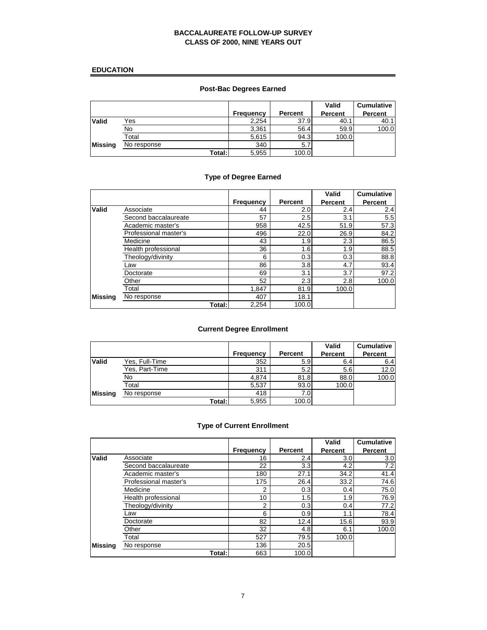## **EDUCATION**

## **Post-Bac Degrees Earned**

|                |             |           |         | <b>Valid</b>   | <b>Cumulative</b> |
|----------------|-------------|-----------|---------|----------------|-------------------|
|                |             | Frequency | Percent | <b>Percent</b> | <b>Percent</b>    |
| Valid          | Yes         | 2,254     | 37.9    | 40.1           | 40.1              |
|                | No          | 3,361     | 56.4    | 59.9           | 100.0             |
|                | Total       | 5,615     | 94.3    | 100.0          |                   |
| <b>Missing</b> | No response | 340       | 5.7     |                |                   |
|                | Total: I    | 5,955     | 100.0   |                |                   |

## **Type of Degree Earned**

|                |                       |           |         | Valid   | <b>Cumulative</b> |
|----------------|-----------------------|-----------|---------|---------|-------------------|
|                |                       | Frequency | Percent | Percent | <b>Percent</b>    |
| Valid          | Associate             | 44        | 2.0     | 2.4     | 2.4               |
|                | Second baccalaureate  | 57        | 2.5     | 3.1     | 5.5               |
|                | Academic master's     | 958       | 42.5    | 51.9    | 57.3              |
|                | Professional master's | 496       | 22.0    | 26.9    | 84.2              |
|                | Medicine              | 43        | 1.9     | 2.3     | 86.5              |
|                | Health professional   | 36        | 1.6     | 1.9     | 88.5              |
|                | Theology/divinity     | 6         | 0.3     | 0.3     | 88.8              |
|                | Law                   | 86        | 3.8     | 4.7     | 93.4              |
|                | Doctorate             | 69        | 3.1     | 3.7     | 97.2              |
|                | Other                 | 52        | 2.3     | 2.8     | 100.0             |
|                | Total                 | 1,847     | 81.9    | 100.0   |                   |
| <b>Missing</b> | No response           | 407       | 18.1    |         |                   |
|                | Total:                | 2.254     | 100.0   |         |                   |

## **Current Degree Enrollment**

|                |                |           |                | Valid          | <b>Cumulative</b> |
|----------------|----------------|-----------|----------------|----------------|-------------------|
|                |                | Frequency | <b>Percent</b> | <b>Percent</b> | <b>Percent</b>    |
| Valid          | Yes, Full-Time | 352       | 5.9            | 6.4            | 6.4               |
|                | Yes, Part-Time | 311       | 5.2            | 5.6            | 12.0              |
|                | No             | 4.874     | 81.8           | 88.0           | 100.0             |
|                | Total          | 5.537     | 93.0           | 100.0          |                   |
| <b>Missing</b> | No response    | 418       | 7.0            |                |                   |
|                | Total:         | 5,955     | 100.0          |                |                   |

## **Type of Current Enrollment**

|                |                       |                  |                | Valid          | <b>Cumulative</b> |
|----------------|-----------------------|------------------|----------------|----------------|-------------------|
|                |                       | <b>Frequency</b> | <b>Percent</b> | <b>Percent</b> | <b>Percent</b>    |
| Valid          | Associate             | 16               | 2.4            | 3.0            | 3.0               |
|                | Second baccalaureate  | 22               | 3.3            | 4.2            | 7.2               |
|                | Academic master's     | 180              | 27.1           | 34.2           | 41.4              |
|                | Professional master's | 175              | 26.4           | 33.2           | 74.6              |
|                | Medicine              | 2                | 0.3            | 0.4            | 75.0              |
|                | Health professional   | 10               | 1.5            | 1.9            | 76.9              |
|                | Theology/divinity     | $\overline{2}$   | 0.3            | 0.4            | 77.2              |
|                | Law                   | 6                | 0.9            | 1.1            | 78.4              |
|                | Doctorate             | 82               | 12.4           | 15.6           | 93.9              |
|                | Other                 | 32               | 4.8            | 6.1            | 100.0             |
|                | Total                 | 527              | 79.5           | 100.0          |                   |
| <b>Missing</b> | No response           | 136              | 20.5           |                |                   |
|                | Total:                | 663              | 100.0          |                |                   |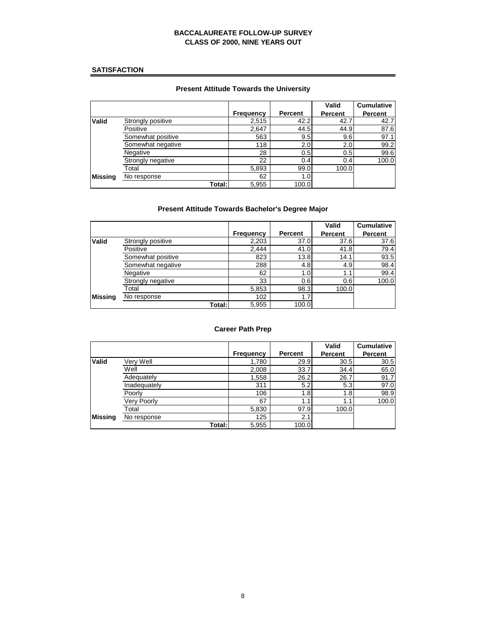## **SATISFACTION**

## **Present Attitude Towards the University**

|                |                   |                  |                | Valid          | <b>Cumulative</b> |
|----------------|-------------------|------------------|----------------|----------------|-------------------|
|                |                   | <b>Frequency</b> | <b>Percent</b> | <b>Percent</b> | <b>Percent</b>    |
| <b>Valid</b>   | Strongly positive | 2,515            | 42.2           | 42.7           | 42.7              |
|                | Positive          | 2,647            | 44.5           | 44.9           | 87.6              |
|                | Somewhat positive | 563              | 9.5            | 9.6            | 97.1              |
|                | Somewhat negative | 118              | 2.0            | 2.0            | 99.2              |
|                | Negative          | 28               | 0.5            | 0.5            | 99.6              |
|                | Strongly negative | 22               | 0.4            | 0.4            | 100.0             |
|                | Total             | 5,893            | 99.0           | 100.0          |                   |
| <b>Missing</b> | No response       | 62               | 1.0            |                |                   |
|                | Total:            | 5,955            | 100.0          |                |                   |

## **Present Attitude Towards Bachelor's Degree Major**

|              |                   |           |         | Valid          | <b>Cumulative</b> |
|--------------|-------------------|-----------|---------|----------------|-------------------|
|              |                   | Frequency | Percent | <b>Percent</b> | <b>Percent</b>    |
| <b>Valid</b> | Strongly positive | 2,203     | 37.0    | 37.6           | 37.6              |
|              | Positive          | 2.444     | 41.0    | 41.8           | 79.4              |
|              | Somewhat positive | 823       | 13.8    | 14.1           | 93.5              |
|              | Somewhat negative | 288       | 4.8     | 4.9            | 98.4              |
|              | Negative          | 62        | 1.0     | 1.1            | 99.4              |
|              | Strongly negative | 33        | 0.6     | 0.6            | 100.0             |
|              | Total             | 5,853     | 98.3    | 100.0          |                   |
| Missina      | No response       | 102       | 1.7     |                |                   |
|              | Total:            | 5,955     | 100.0   |                |                   |

#### **Career Path Prep**

|                |                    |           |         | <b>Valid</b>   | <b>Cumulative</b> |
|----------------|--------------------|-----------|---------|----------------|-------------------|
|                |                    | Frequency | Percent | <b>Percent</b> | <b>Percent</b>    |
| Valid          | Verv Well          | 1,780     | 29.9    | 30.5           | 30.5              |
|                | Well               | 2,008     | 33.7    | 34.4           | 65.0              |
|                | Adequately         | 1,558     | 26.2    | 26.7           | 91.7              |
|                | Inadequately       | 311       | 5.2     | 5.3            | 97.0              |
|                | Poorly             | 106       | 1.8     | 1.8            | 98.9              |
|                | <b>Very Poorly</b> | 67        | 1.1     | 1.1            | 100.0             |
|                | Total              | 5,830     | 97.9    | 100.0          |                   |
| <b>Missing</b> | No response        | 125       | 2.1     |                |                   |
|                | Total:             | 5,955     | 100.0   |                |                   |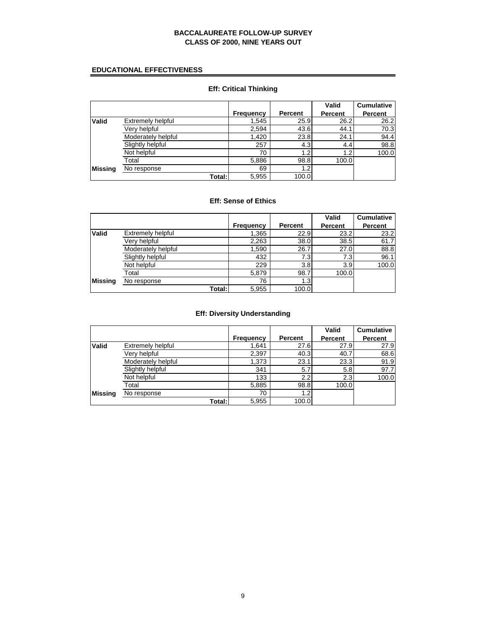## **EDUCATIONAL EFFECTIVENESS**

|              |                    |                  |                | Valid   | <b>Cumulative</b> |
|--------------|--------------------|------------------|----------------|---------|-------------------|
|              |                    | <b>Frequency</b> | <b>Percent</b> | Percent | Percent           |
| <b>Valid</b> | Extremely helpful  | 1,545            | 25.9           | 26.2    | 26.2              |
|              | Very helpful       | 2,594            | 43.6           | 44.1    | 70.3              |
|              | Moderately helpful | 1,420            | 23.8           | 24.1    | 94.4              |
|              | Slightly helpful   | 257              | 4.3            | 4.4     | 98.8              |
|              | Not helpful        | 70               | 1.2            | 1.2     | 100.0             |
|              | Total              | 5,886            | 98.8           | 100.0   |                   |
| Missina      | No response        | 69               | 1.2            |         |                   |
|              | Total:             | 5,955            | 100.0          |         |                   |

## **Eff: Critical Thinking**

## **Eff: Sense of Ethics**

|              |                    |                  |                | Valid   | <b>Cumulative</b> |
|--------------|--------------------|------------------|----------------|---------|-------------------|
|              |                    | <b>Frequency</b> | <b>Percent</b> | Percent | <b>Percent</b>    |
| <b>Valid</b> | Extremely helpful  | 1,365            | 22.9           | 23.2    | 23.2              |
|              | Very helpful       | 2,263            | 38.0           | 38.5    | 61.7              |
|              | Moderately helpful | 1,590            | 26.7           | 27.0    | 88.8              |
|              | Slightly helpful   | 432              | 7.3            | 7.3     | 96.1              |
|              | Not helpful        | 229              | 3.8            | 3.9     | 100.0             |
|              | Total              | 5,879            | 98.7           | 100.0   |                   |
| Missina      | No response        | 76               | 1.3            |         |                   |
|              | Total:             | 5,955            | 100.0          |         |                   |

## **Eff: Diversity Understanding**

|              |                    |           |                | Valid          | <b>Cumulative</b> |
|--------------|--------------------|-----------|----------------|----------------|-------------------|
|              |                    | Frequency | <b>Percent</b> | <b>Percent</b> | <b>Percent</b>    |
| <b>Valid</b> | Extremely helpful  | 1,641     | 27.6           | 27.9           | 27.9              |
|              | Verv helpful       | 2,397     | 40.3           | 40.7           | 68.6              |
|              | Moderately helpful | 1,373     | 23.1           | 23.3           | 91.9              |
|              | Slightly helpful   | 341       | 5.7            | 5.8            | 97.7              |
|              | Not helpful        | 133       | 2.2            | 2.3            | 100.0             |
|              | Total              | 5,885     | 98.8           | 100.0          |                   |
| Missina      | No response        | 70        | 1.2            |                |                   |
|              | Total:             | 5,955     | 100.0          |                |                   |